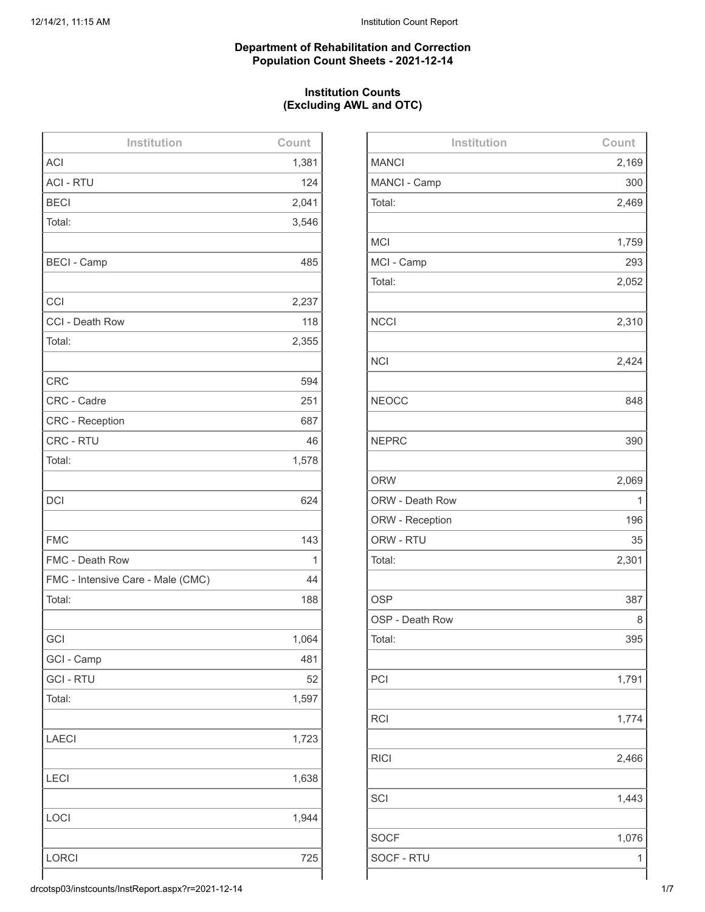## **Department of Rehabilitation and Correction Population Count Sheets - 2021-12-14**

# **Institution Counts (Excluding AWL and OTC)**

| Institution                       | Count |
|-----------------------------------|-------|
| <b>ACI</b>                        | 1,381 |
| <b>ACI - RTU</b>                  | 124   |
| <b>BECI</b>                       | 2,041 |
| Total:                            | 3,546 |
|                                   |       |
| <b>BECI - Camp</b>                | 485   |
|                                   |       |
| CCI                               | 2,237 |
| CCI - Death Row                   | 118   |
| Total:                            | 2,355 |
|                                   |       |
| <b>CRC</b>                        | 594   |
| CRC - Cadre                       | 251   |
| <b>CRC</b> - Reception            | 687   |
| CRC - RTU                         | 46    |
| Total:                            | 1,578 |
|                                   |       |
| <b>DCI</b>                        | 624   |
|                                   |       |
| <b>FMC</b>                        | 143   |
| FMC - Death Row                   | 1     |
| FMC - Intensive Care - Male (CMC) | 44    |
| Total:                            | 188   |
|                                   |       |
| GCI                               | 1,064 |
| GCI - Camp                        | 481   |
| <b>GCI-RTU</b>                    | 52    |
| Total:                            | 1,597 |
|                                   |       |
| <b>LAECI</b>                      | 1,723 |
|                                   |       |
| <b>LECI</b>                       | 1,638 |
|                                   |       |
| LOCI                              | 1,944 |
|                                   |       |
| <b>LORCI</b>                      | 725   |
|                                   |       |

| Institution     | Count |
|-----------------|-------|
| <b>MANCI</b>    | 2,169 |
| MANCI - Camp    | 300   |
| Total:          | 2,469 |
|                 |       |
| <b>MCI</b>      | 1,759 |
| MCI - Camp      | 293   |
| Total:          | 2,052 |
|                 |       |
| <b>NCCI</b>     | 2,310 |
|                 |       |
| <b>NCI</b>      | 2,424 |
|                 |       |
| <b>NEOCC</b>    | 848   |
|                 |       |
| <b>NEPRC</b>    | 390   |
|                 |       |
| <b>ORW</b>      | 2,069 |
| ORW - Death Row | 1     |
| ORW - Reception | 196   |
| ORW - RTU       | 35    |
| Total:          | 2,301 |
|                 |       |
| <b>OSP</b>      | 387   |
| OSP - Death Row | 8     |
| Total:          | 395   |
|                 |       |
| PCI             | 1,791 |
|                 |       |
| <b>RCI</b>      | 1,774 |
|                 |       |
| <b>RICI</b>     | 2,466 |
|                 |       |
| SCI             | 1,443 |
|                 |       |
| <b>SOCF</b>     | 1,076 |
| SOCF - RTU      | 1     |
|                 |       |

drcotsp03/instcounts/InstReport.aspx?r=2021-12-14 1/7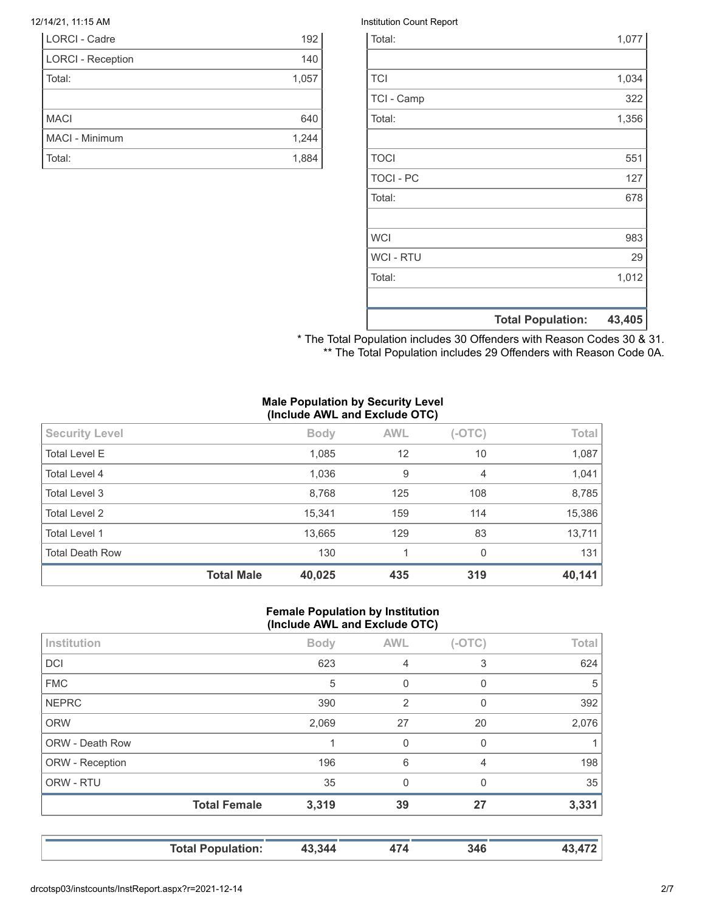| LORCI - Cadre            | 192   |
|--------------------------|-------|
| <b>LORCI - Reception</b> | 140   |
| Total:                   | 1,057 |
|                          |       |
| <b>MACI</b>              | 640   |
| MACI - Minimum           | 1,244 |
| Total:                   | 1,884 |

#### 12/14/21, 11:15 AM Institution Count Report

|                  | <b>Total Population:</b> | 43,405 |
|------------------|--------------------------|--------|
|                  |                          |        |
| Total:           |                          | 1,012  |
| <b>WCI - RTU</b> |                          | 29     |
| <b>WCI</b>       |                          | 983    |
|                  |                          |        |
| Total:           |                          | 678    |
| <b>TOCI - PC</b> |                          | 127    |
| <b>TOCI</b>      |                          | 551    |
|                  |                          |        |
| Total:           |                          | 1,356  |
| TCI - Camp       |                          | 322    |
| <b>TCI</b>       |                          | 1,034  |
|                  |                          |        |
| Total:           |                          | 1,077  |

\* The Total Population includes 30 Offenders with Reason Codes 30 & 31. \*\* The Total Population includes 29 Offenders with Reason Code 0A.

#### **Male Population by Security Level (Include AWL and Exclude OTC)**

| <b>Security Level</b>  |                   | <b>Body</b> | <b>AWL</b> | $(-OTC)$ | Total  |
|------------------------|-------------------|-------------|------------|----------|--------|
| <b>Total Level E</b>   |                   | 1,085       | 12         | 10       | 1,087  |
| Total Level 4          |                   | 1,036       | 9          | 4        | 1,041  |
| Total Level 3          |                   | 8,768       | 125        | 108      | 8,785  |
| Total Level 2          |                   | 15,341      | 159        | 114      | 15,386 |
| <b>Total Level 1</b>   |                   | 13,665      | 129        | 83       | 13,711 |
| <b>Total Death Row</b> |                   | 130         | 1          | $\Omega$ | 131    |
|                        | <b>Total Male</b> | 40,025      | 435        | 319      | 40,141 |

#### **Female Population by Institution (Include AWL and Exclude OTC)**

| Institution            |                     | <b>Body</b> | <b>AWL</b>     | $(-OTC)$ | Total |
|------------------------|---------------------|-------------|----------------|----------|-------|
| <b>DCI</b>             |                     | 623         | 4              | 3        | 624   |
| <b>FMC</b>             |                     | 5           | 0              | 0        | 5     |
| <b>NEPRC</b>           |                     | 390         | $\overline{2}$ | 0        | 392   |
| <b>ORW</b>             |                     | 2,069       | 27             | 20       | 2,076 |
| <b>ORW - Death Row</b> |                     |             | 0              | 0        |       |
| ORW - Reception        |                     | 196         | 6              | 4        | 198   |
| ORW - RTU              |                     | 35          | $\Omega$       | 0        | 35    |
|                        | <b>Total Female</b> | 3,319       | 39             | 27       | 3,331 |
|                        |                     |             |                |          |       |

**Total Population: 43,344 474 346 43,472**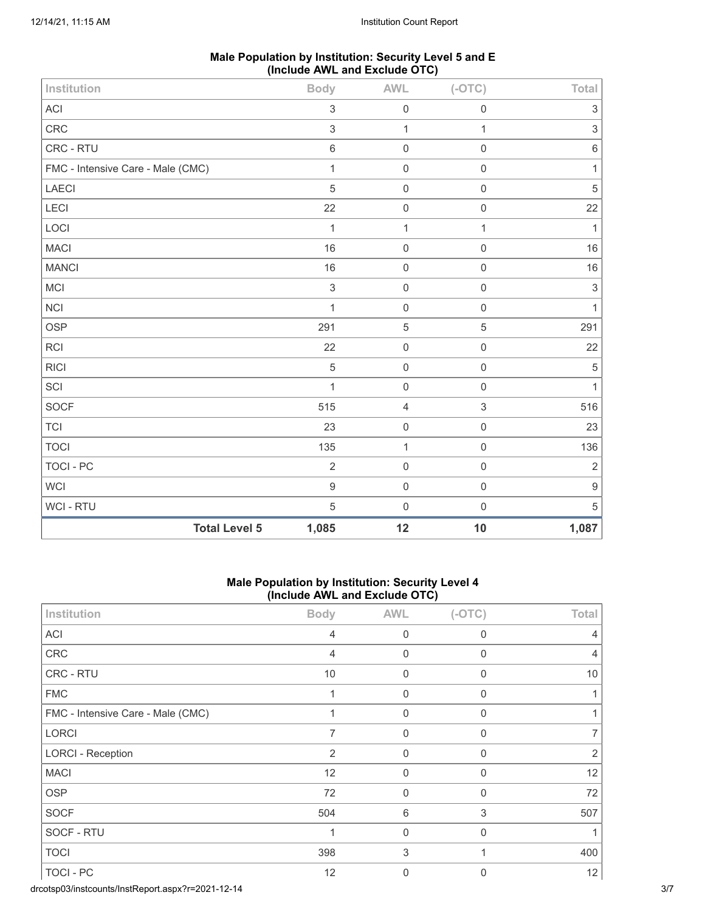| Male Population by Institution: Security Level 5 and E |  |
|--------------------------------------------------------|--|
| (Include AWL and Exclude OTC)                          |  |

| Institution                       | <b>Body</b>      | <b>AWL</b>     | $(-OTC)$                  | Total                     |
|-----------------------------------|------------------|----------------|---------------------------|---------------------------|
| ACI                               | $\mathfrak{S}$   | $\mathbf 0$    | $\mathbf 0$               | 3                         |
| CRC                               | $\sqrt{3}$       | $\mathbf{1}$   | $\mathbf{1}$              | $\ensuremath{\mathsf{3}}$ |
| CRC - RTU                         | $\,6\,$          | $\mathsf 0$    | $\mathbf 0$               | $\,$ 6 $\,$               |
| FMC - Intensive Care - Male (CMC) | $\mathbf{1}$     | $\mathbf 0$    | $\mathbf 0$               | $\mathbf{1}$              |
| LAECI                             | $\overline{5}$   | $\mathsf 0$    | $\mathbf 0$               | $\sqrt{5}$                |
| <b>LECI</b>                       | 22               | $\mathbf 0$    | $\mathbf 0$               | 22                        |
| LOCI                              | $\mathbf{1}$     | $\mathbf{1}$   | $\mathbf{1}$              | $\mathbf{1}$              |
| <b>MACI</b>                       | 16               | $\mathbf 0$    | $\mathbf 0$               | 16                        |
| <b>MANCI</b>                      | 16               | $\mathbf 0$    | $\mathbf 0$               | 16                        |
| MCI                               | $\mathfrak{S}$   | $\mathbf 0$    | $\mathbf 0$               | $\sqrt{3}$                |
| <b>NCI</b>                        | $\mathbf{1}$     | $\mathbf 0$    | $\mathsf{O}\xspace$       | $\mathbf{1}$              |
| <b>OSP</b>                        | 291              | $\mathbf 5$    | 5                         | 291                       |
| <b>RCI</b>                        | 22               | $\mathbf 0$    | $\mathbf 0$               | 22                        |
| <b>RICI</b>                       | $\overline{5}$   | $\mathsf 0$    | $\mathbf 0$               | $\sqrt{5}$                |
| SCI                               | $\mathbf{1}$     | $\mathbf 0$    | $\mathbf 0$               | $\mathbf{1}$              |
| SOCF                              | 515              | $\overline{4}$ | $\ensuremath{\mathsf{3}}$ | 516                       |
| <b>TCI</b>                        | 23               | $\mathbf 0$    | $\mathbf 0$               | 23                        |
| <b>TOCI</b>                       | 135              | $\mathbf 1$    | $\mathbf 0$               | 136                       |
| <b>TOCI - PC</b>                  | $\overline{2}$   | $\mathsf 0$    | $\mathbf 0$               | $\overline{2}$            |
| <b>WCI</b>                        | $\boldsymbol{9}$ | $\mathbf 0$    | $\mathbf 0$               | $\boldsymbol{9}$          |
| WCI - RTU                         | $\mathbf 5$      | $\mathbf 0$    | $\mathbf 0$               | $\sqrt{5}$                |
| <b>Total Level 5</b>              | 1,085            | 12             | 10                        | 1,087                     |

## **Male Population by Institution: Security Level 4 (Include AWL and Exclude OTC)**

| Institution                       | <b>Body</b>    | <b>AWL</b>   | $(-OTC)$     | Total          |
|-----------------------------------|----------------|--------------|--------------|----------------|
| ACI                               | 4              | $\Omega$     | 0            | 4              |
| ${\sf CRC}$                       | $\overline{4}$ | $\mathbf 0$  | 0            | $\overline{4}$ |
| CRC - RTU                         | 10             | $\mathbf 0$  | 0            | 10             |
| <b>FMC</b>                        | 1              | $\Omega$     | $\Omega$     |                |
| FMC - Intensive Care - Male (CMC) | 1              | $\mathbf 0$  | 0            |                |
| LORCI                             | 7              | $\mathbf 0$  | 0            |                |
| <b>LORCI - Reception</b>          | 2              | $\Omega$     | $\Omega$     | 2              |
| <b>MACI</b>                       | 12             | $\mathbf 0$  | 0            | 12             |
| <b>OSP</b>                        | 72             | $\mathbf 0$  | 0            | 72             |
| <b>SOCF</b>                       | 504            | 6            | 3            | 507            |
| SOCF - RTU                        | 1              | $\mathbf 0$  | $\mathbf{0}$ |                |
| <b>TOCI</b>                       | 398            | 3            |              | 400            |
| TOCI - PC                         | 12             | $\mathbf{0}$ | 0            | 12             |

drcotsp03/instcounts/InstReport.aspx?r=2021-12-14 3/7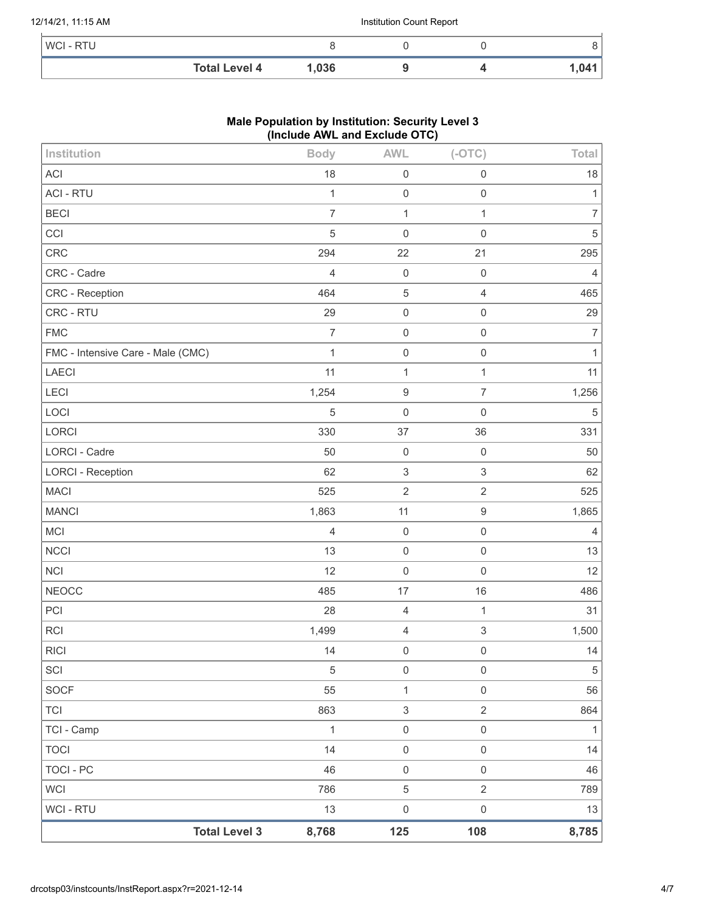#### 12/14/21, 11:15 AM Institution Count Report

| WCI - RTU |                      |       |  |       |
|-----------|----------------------|-------|--|-------|
|           | <b>Total Level 4</b> | 1,036 |  | 1,041 |

# **Male Population by Institution: Security Level 3 (Include AWL and Exclude OTC)**

| Institution                       | <b>Body</b>                   | <b>AWL</b>                | $(-OTC)$            | Total          |
|-----------------------------------|-------------------------------|---------------------------|---------------------|----------------|
| <b>ACI</b>                        | 18                            | $\mathbf 0$               | $\mathsf 0$         | 18             |
| <b>ACI - RTU</b>                  | $\mathbf{1}$                  | $\mathbf 0$               | 0                   | 1              |
| <b>BECI</b>                       | $\overline{7}$                | $\mathbf{1}$              | $\mathbf{1}$        | $\overline{7}$ |
| CCI                               | 5                             | $\mathbf 0$               | $\mathbf 0$         | 5              |
| CRC                               | 294                           | 22                        | 21                  | 295            |
| CRC - Cadre                       | 4                             | $\mathbf 0$               | $\mathsf 0$         | $\overline{4}$ |
| <b>CRC</b> - Reception            | 464                           | $\mathbf 5$               | $\sqrt{4}$          | 465            |
| CRC - RTU                         | 29                            | $\mathbf 0$               | $\mathsf{O}\xspace$ | 29             |
| <b>FMC</b>                        | $\overline{7}$                | $\mathbf 0$               | $\mathsf 0$         | $\overline{7}$ |
| FMC - Intensive Care - Male (CMC) | $\mathbf{1}$                  | $\mathbf 0$               | $\mathsf{O}\xspace$ | 1              |
| LAECI                             | 11                            | $\mathbf{1}$              | 1                   | 11             |
| LECI                              | 1,254                         | $\boldsymbol{9}$          | $\overline{7}$      | 1,256          |
| LOCI                              | 5                             | $\mathbf 0$               | $\mathsf 0$         | $\mathbf 5$    |
| LORCI                             | 330                           | 37                        | 36                  | 331            |
| LORCI - Cadre                     | 50                            | $\mathbf 0$               | $\mathsf 0$         | 50             |
| <b>LORCI - Reception</b>          | 62                            | $\sqrt{3}$                | 3                   | 62             |
| <b>MACI</b>                       | 525                           | $\overline{2}$            | $\overline{2}$      | 525            |
| <b>MANCI</b>                      | 1,863                         | 11                        | $\boldsymbol{9}$    | 1,865          |
| MCI                               | $\overline{4}$                | $\mathbf 0$               | $\mathsf{O}\xspace$ | 4              |
| <b>NCCI</b>                       | 13                            | $\mathbf 0$               | $\mathsf{O}\xspace$ | 13             |
| <b>NCI</b>                        | 12                            | $\mathbf 0$               | $\mathbf 0$         | 12             |
| <b>NEOCC</b>                      | 485                           | 17                        | 16                  | 486            |
| PCI                               | 28                            | $\overline{4}$            | $\mathbf{1}$        | 31             |
| <b>RCI</b>                        | 1,499                         | $\overline{4}$            | 3                   | 1,500          |
| <b>RICI</b>                       | 14                            | $\mathbf 0$               | $\mathsf 0$         | 14             |
| SCI                               | $\,$ 5 $\,$                   | $\mathbf 0$               | $\mathsf 0$         | $\sqrt{5}$     |
| <b>SOCF</b>                       | 55                            | $\mathbf{1}$              | $\mathsf{O}\xspace$ | 56             |
| <b>TCI</b>                        | 863                           | $\ensuremath{\mathsf{3}}$ | $\overline{2}$      | 864            |
| TCI - Camp                        | $\mathbf{1}$                  | $\mathbf 0$               | $\mathsf{O}\xspace$ | $\mathbf{1}$   |
| <b>TOCI</b>                       | 14                            | $\mathbf 0$               | $\mathsf{O}\xspace$ | 14             |
| <b>TOCI - PC</b>                  | 46                            | $\mathbf 0$               | $\mathsf{O}\xspace$ | 46             |
| <b>WCI</b>                        | 786                           | 5                         | $\overline{2}$      | 789            |
| <b>WCI - RTU</b>                  | 13                            | $\mathbf 0$               | $\,0\,$             | 13             |
|                                   | <b>Total Level 3</b><br>8,768 | 125                       | 108                 | 8,785          |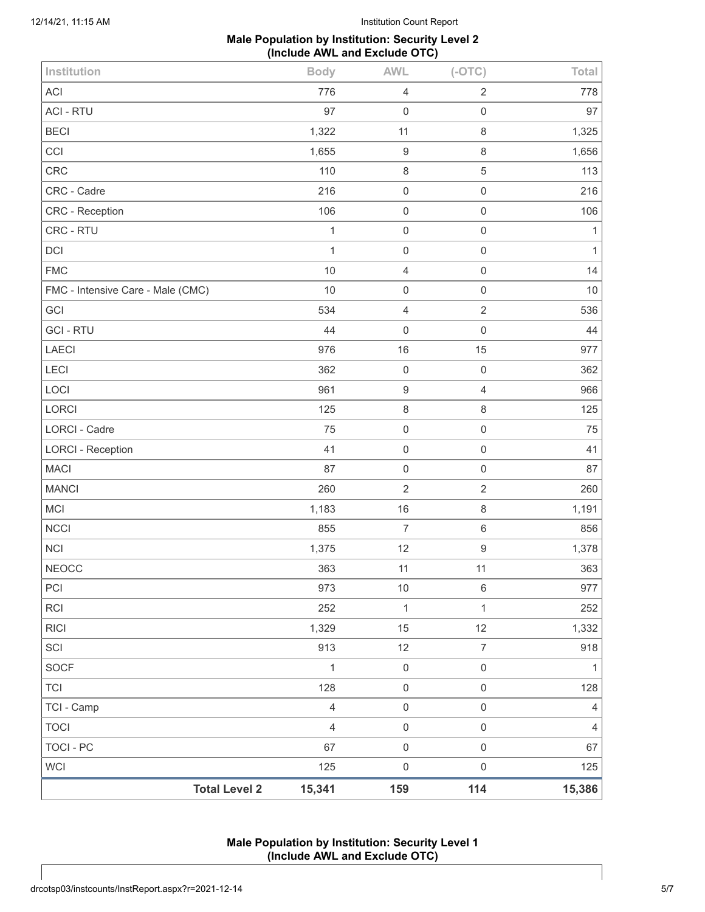# **Male Population by Institution: Security Level 2 (Include AWL and Exclude OTC)**

| Institution                       | <b>Body</b>    | <b>AWL</b>       | $(-OTC)$            | Total          |
|-----------------------------------|----------------|------------------|---------------------|----------------|
| ACI                               | 776            | $\sqrt{4}$       | $\sqrt{2}$          | 778            |
| <b>ACI - RTU</b>                  | 97             | $\mathbf 0$      | $\mathsf 0$         | 97             |
| <b>BECI</b>                       | 1,322          | 11               | $\,8\,$             | 1,325          |
| CCI                               | 1,655          | $\boldsymbol{9}$ | $\,8\,$             | 1,656          |
| CRC                               | 110            | $\,8\,$          | 5                   | 113            |
| CRC - Cadre                       | 216            | $\mathbf 0$      | $\mathbf 0$         | 216            |
| CRC - Reception                   | 106            | $\mathbf 0$      | $\mathbf 0$         | 106            |
| CRC - RTU                         | $\mathbf{1}$   | $\mathbf 0$      | $\mathbf 0$         | 1              |
| DCI                               | 1              | $\mathbf 0$      | $\mathbf 0$         | $\mathbf{1}$   |
| <b>FMC</b>                        | 10             | $\overline{4}$   | $\mathbf 0$         | 14             |
| FMC - Intensive Care - Male (CMC) | 10             | $\mathbf 0$      | $\mathbf 0$         | $10$           |
| GCI                               | 534            | $\overline{4}$   | $\overline{2}$      | 536            |
| <b>GCI-RTU</b>                    | 44             | $\mathbf 0$      | $\mathsf{O}\xspace$ | 44             |
| LAECI                             | 976            | 16               | 15                  | 977            |
| LECI                              | 362            | $\mathbf 0$      | $\mathbf 0$         | 362            |
| LOCI                              | 961            | $\boldsymbol{9}$ | $\overline{4}$      | 966            |
| LORCI                             | 125            | $\,8\,$          | $\,8\,$             | 125            |
| <b>LORCI - Cadre</b>              | 75             | $\mathbf 0$      | $\mathbf 0$         | 75             |
| <b>LORCI - Reception</b>          | 41             | $\mathbf 0$      | $\mathbf 0$         | 41             |
| <b>MACI</b>                       | 87             | $\mathbf 0$      | $\mathbf 0$         | 87             |
| <b>MANCI</b>                      | 260            | $\sqrt{2}$       | $\sqrt{2}$          | 260            |
| <b>MCI</b>                        | 1,183          | 16               | $\,8\,$             | 1,191          |
| <b>NCCI</b>                       | 855            | $\overline{7}$   | $\,6\,$             | 856            |
| <b>NCI</b>                        | 1,375          | 12               | $\boldsymbol{9}$    | 1,378          |
| <b>NEOCC</b>                      | 363            | 11               | 11                  | 363            |
| PCI                               | 973            | $10$             | $\,6\,$             | 977            |
| <b>RCI</b>                        | 252            | $\mathbf{1}$     | $\mathbf{1}$        | 252            |
| <b>RICI</b>                       | 1,329          | 15               | 12                  | 1,332          |
| SCI                               | 913            | 12               | $\overline{7}$      | 918            |
| SOCF                              | $\mathbf{1}$   | $\mathbf 0$      | $\mathsf{O}\xspace$ | $\mathbf{1}$   |
| <b>TCI</b>                        | 128            | $\mathbf 0$      | $\,0\,$             | 128            |
| TCI - Camp                        | $\overline{4}$ | $\mathbf 0$      | $\,0\,$             | $\overline{4}$ |
| <b>TOCI</b>                       | $\overline{4}$ | $\mathbf 0$      | $\mathsf{O}\xspace$ | $\overline{4}$ |
| <b>TOCI - PC</b>                  | 67             | $\mathbf 0$      | $\mathsf{O}\xspace$ | 67             |
| <b>WCI</b>                        | 125            | $\mathbf 0$      | $\,0\,$             | 125            |
| <b>Total Level 2</b>              | 15,341         | 159              | 114                 | 15,386         |

**Male Population by Institution: Security Level 1 (Include AWL and Exclude OTC)**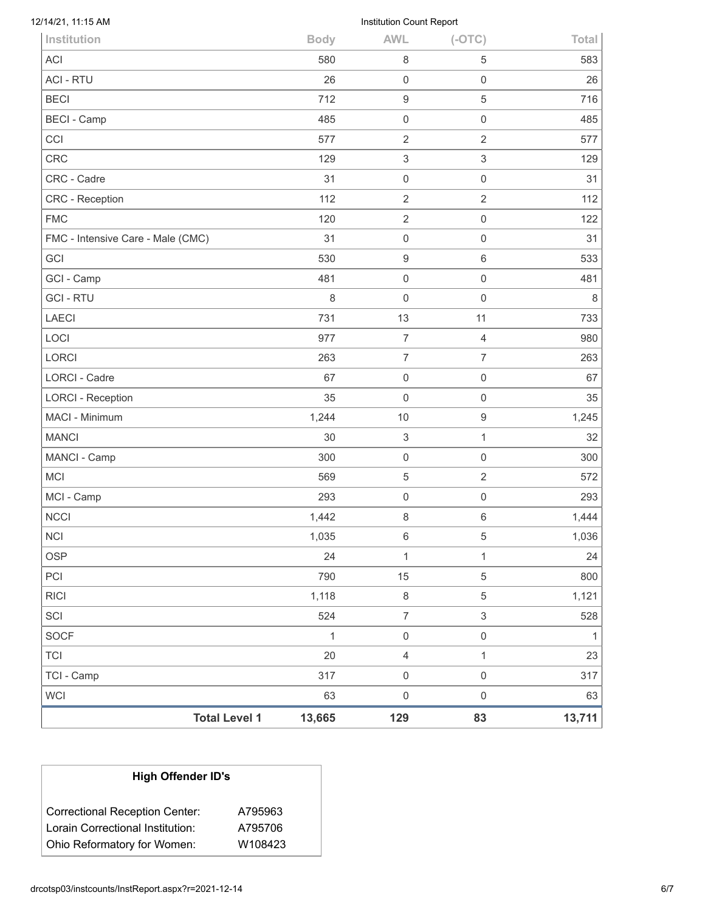| 12/14/21, 11:15 AM                |              | Institution Count Report |                     |              |
|-----------------------------------|--------------|--------------------------|---------------------|--------------|
| Institution                       | <b>Body</b>  | <b>AWL</b>               | $(-OTC)$            | Total        |
| <b>ACI</b>                        | 580          | 8                        | 5                   | 583          |
| <b>ACI - RTU</b>                  | 26           | 0                        | $\mathsf{O}\xspace$ | 26           |
| <b>BECI</b>                       | 712          | $\boldsymbol{9}$         | $\,$ 5 $\,$         | 716          |
| <b>BECI - Camp</b>                | 485          | $\boldsymbol{0}$         | 0                   | 485          |
| CCI                               | 577          | $\overline{2}$           | $\overline{2}$      | 577          |
| <b>CRC</b>                        | 129          | 3                        | $\mathsf 3$         | 129          |
| CRC - Cadre                       | 31           | 0                        | $\mathsf{O}\xspace$ | 31           |
| CRC - Reception                   | 112          | $\overline{2}$           | $\overline{2}$      | 112          |
| <b>FMC</b>                        | 120          | $\overline{2}$           | $\mathsf{O}\xspace$ | 122          |
| FMC - Intensive Care - Male (CMC) | 31           | 0                        | $\mathsf{O}\xspace$ | 31           |
| GCI                               | 530          | $\boldsymbol{9}$         | $\,6\,$             | 533          |
| GCI - Camp                        | 481          | 0                        | 0                   | 481          |
| <b>GCI-RTU</b>                    | 8            | $\mathsf{O}\xspace$      | $\mathsf{O}\xspace$ | 8            |
| <b>LAECI</b>                      | 731          | 13                       | 11                  | 733          |
| LOCI                              | 977          | $\overline{7}$           | 4                   | 980          |
| <b>LORCI</b>                      | 263          | $\overline{7}$           | $\overline{7}$      | 263          |
| <b>LORCI - Cadre</b>              | 67           | $\mathsf 0$              | $\mathsf{O}\xspace$ | 67           |
| <b>LORCI - Reception</b>          | 35           | 0                        | $\mathsf{O}\xspace$ | 35           |
| <b>MACI - Minimum</b>             | 1,244        | 10                       | 9                   | 1,245        |
| <b>MANCI</b>                      | 30           | 3                        | $\mathbf{1}$        | 32           |
| MANCI - Camp                      | 300          | $\mathsf{O}\xspace$      | $\mathsf{O}\xspace$ | 300          |
| <b>MCI</b>                        | 569          | 5                        | $\overline{2}$      | 572          |
| MCI - Camp                        | 293          | 0                        | $\mathsf{O}\xspace$ | 293          |
| <b>NCCI</b>                       | 1,442        | 8                        | 6                   | 1,444        |
| <b>NCI</b>                        | 1,035        | 6                        | $\,$ 5 $\,$         | 1,036        |
| <b>OSP</b>                        | 24           | $\mathbf{1}$             | $\mathbf{1}$        | 24           |
| PCI                               | 790          | 15                       | $\sqrt{5}$          | 800          |
| <b>RICI</b>                       | 1,118        | $\,8\,$                  | $\sqrt{5}$          | 1,121        |
| SCI                               | 524          | $\overline{7}$           | $\sqrt{3}$          | 528          |
| <b>SOCF</b>                       | $\mathbf{1}$ | $\mathsf 0$              | $\mathsf{O}\xspace$ | $\mathbf{1}$ |
| <b>TCI</b>                        | 20           | $\sqrt{4}$               | $\mathbf{1}$        | 23           |
| TCI - Camp                        | 317          | $\mathsf{O}\xspace$      | $\mathsf{O}\xspace$ | 317          |
| <b>WCI</b>                        | 63           | $\mathsf{O}\xspace$      | $\,0\,$             | 63           |
| <b>Total Level 1</b>              | 13,665       | 129                      | 83                  | 13,711       |

| <b>High Offender ID's</b>             |         |
|---------------------------------------|---------|
| <b>Correctional Reception Center:</b> | A795963 |
| Lorain Correctional Institution:      | A795706 |
| Ohio Reformatory for Women:           | W108423 |